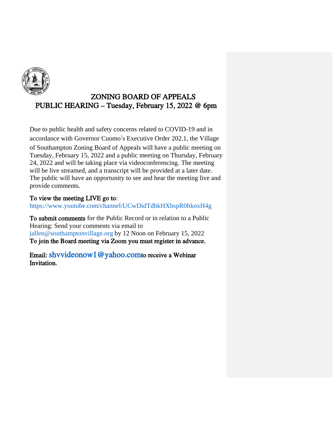

## ZONING BOARD OF APPEALS PUBLIC HEARING – Tuesday, February 15, 2022 @ 6pm

Due to public health and safety concerns related to COVID-19 and in accordance with Governor Cuomo's Executive Order 202.1, the Village of Southampton Zoning Board of Appeals will have a public meeting on Tuesday, February 15, 2022 and a public meeting on Thursday, February 24, 2022 and will be taking place via videoconferencing. The meeting will be live streamed, and a transcript will be provided at a later date. The public will have an opportunity to see and hear the meeting live and provide comments.

## To view the meeting LIVE go to:

https://www.youtube.com/channel/UCwDidTdhkHXbspR0hkoxH4g

To submit comments for the Public Record or in relation to a Public Hearing: Send your comments via email to jallen@southamptonvillage.org by 12 Noon on February 15, 2022 To join the Board meeting via Zoom you must register in advance.

Email: shvvideonow1@yahoo.comto receive a Webinar Invitation.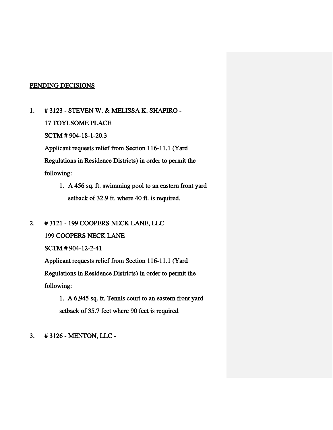#### PENDING DECISIONS

- 1. # 3123 STEVEN W. & MELISSA K. SHAPIRO 17 TOYLSOME PLACE SCTM # 904-18-1-20.3 Applicant requests relief from Section 116-11.1 (Yard Regulations in Residence Districts) in order to permit the following:
	- 1. A 456 sq. ft. swimming pool to an eastern front yard setback of 32.9 ft. where 40 ft. is required.
- 2. # 3121 199 COOPERS NECK LANE, LLC

199 COOPERS NECK LANE

SCTM # 904-12-2-41

 Applicant requests relief from Section 116-11.1 (Yard Regulations in Residence Districts) in order to permit the

following:

 1. A 6,945 sq. ft. Tennis court to an eastern front yard setback of 35.7 feet where 90 feet is required

3. # 3126 - MENTON, LLC -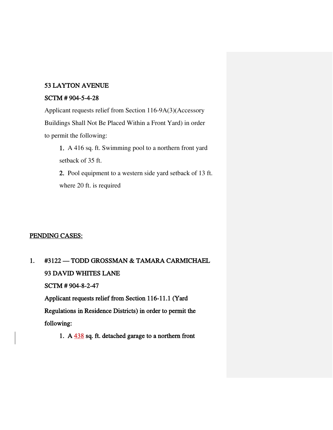#### 53 LAYTON AVENUE

#### SCTM # 904-5-4-28

 Applicant requests relief from Section 116-9A(3)(Accessory Buildings Shall Not Be Placed Within a Front Yard) in order to permit the following:

1. A 416 sq. ft. Swimming pool to a northern front yard setback of 35 ft.

2. Pool equipment to a western side yard setback of 13 ft. where 20 ft. is required

## PENDING CASES:

1. #3122 — TODD GROSSMAN & TAMARA CARMICHAEL 93 DAVID WHITES LANE SCTM # 904-8-2-47 Applicant requests relief from Section 116-11.1 (Yard Regulations in Residence Districts) in order to permit the following:

1. A 438 sq. ft. detached garage to a northern front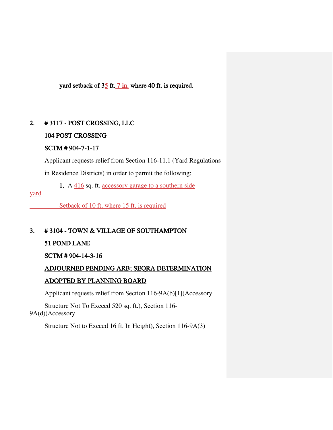yard setback of  $3\frac{5}{1}$  ft.  $7 \text{ in.}$  where 40 ft. is required.

## 2. # 3117 - POST CROSSING, LLC

## 104 POST CROSSING

## SCTM # 904-7-1-17

 Applicant requests relief from Section 116-11.1 (Yard Regulations in Residence Districts) in order to permit the following:

1. A 416 sq. ft. accessory garage to a southern side

yard

Setback of 10 ft, where 15 ft. is required

3. # 3104 - TOWN & VILLAGE OF SOUTHAMPTON

## 51 POND LANE

SCTM # 904-14-3-16

ADJOURNED PENDING ARB; SEQRA DETERMINATION

## ADOPTED BY PLANNING BOARD

Applicant requests relief from Section 116-9A(b)[1](Accessory

Structure Not To Exceed 520 sq. ft.), Section 116- 9A(d)(Accessory

Structure Not to Exceed 16 ft. In Height), Section 116-9A(3)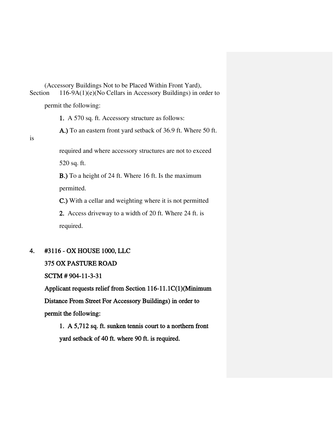(Accessory Buildings Not to be Placed Within Front Yard), Section 116-9A(1)(e)(No Cellars in Accessory Buildings) in order to permit the following:

1. A 570 sq. ft. Accessory structure as follows:

A.) To an eastern front yard setback of 36.9 ft. Where 50 ft.

is

required and where accessory structures are not to exceed 520 sq. ft.

B.) To a height of 24 ft. Where 16 ft. Is the maximum permitted.

C.) With a cellar and weighting where it is not permitted

2. Access driveway to a width of 20 ft. Where 24 ft. is required.

## 4. #3116 - OX HOUSE 1000, LLC

## 375 OX PASTURE ROAD

SCTM # 904-11-3-31

 Applicant requests relief from Section 116-11.1C(1)(Minimum Distance From Street For Accessory Buildings) in order to permit the following:

 1. A 5,712 sq. ft. sunken tennis court to a northern front yard setback of 40 ft. where 90 ft. is required.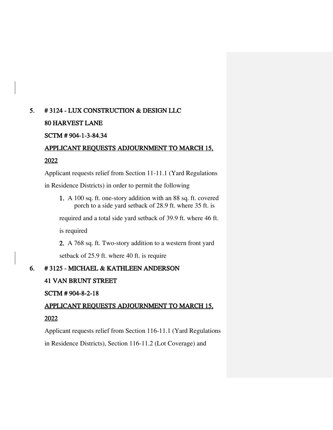## 5. # 3124 - LUX CONSTRUCTION & DESIGN LLC 80 HARVEST LANE

# SCTM # 904-1-3-84.34

# APPLICANT REQUESTS ADJOURNMENT TO MARCH 15,

## 2022

Applicant requests relief from Section 11-11.1 (Yard Regulations

in Residence Districts) in order to permit the following

1. A 100 sq. ft. one-story addition with an 88 sq. ft. covered porch to a side yard setback of 28.9 ft. where 35 ft. is

required and a total side yard setback of 39.9 ft. where 46 ft.

is required

2. A 768 sq. ft. Two-story addition to a western front yard setback of 25.9 ft. where 40 ft. is require

## 6. # 3125 - MICHAEL & KATHLEEN ANDERSON

## 41 VAN BRUNT STREET

## SCTM # 904-8-2-18

## APPLICANT REQUESTS ADJOURNMENT TO MARCH 15, 2022

Applicant requests relief from Section 116-11.1 (Yard Regulations

in Residence Districts), Section 116-11.2 (Lot Coverage) and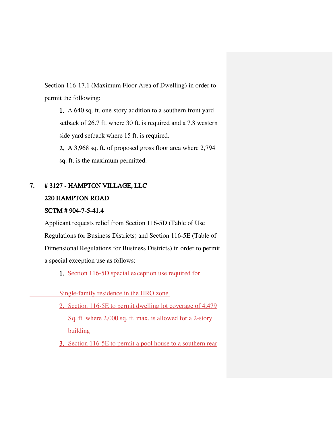Section 116-17.1 (Maximum Floor Area of Dwelling) in order to permit the following:

1. A 640 sq. ft. one-story addition to a southern front yard setback of 26.7 ft. where 30 ft. is required and a 7.8 western side yard setback where 15 ft. is required.

2. A 3,968 sq. ft. of proposed gross floor area where 2,794 sq. ft. is the maximum permitted.

## 7. # 3127 - HAMPTON VILLAGE, LLC 220 HAMPTON ROAD

## SCTM # 904-7-5-41.4

 Applicant requests relief from Section 116-5D (Table of Use Regulations for Business Districts) and Section 116-5E (Table of Dimensional Regulations for Business Districts) in order to permit a special exception use as follows:

1. Section 116-5D special exception use required for

Single-family residence in the HRO zone.

2. Section 116-5E to permit dwelling lot coverage of 4,479 Sq. ft. where 2,000 sq. ft. max. is allowed for a 2-story building

3. Section 116-5E to permit a pool house to a southern rear